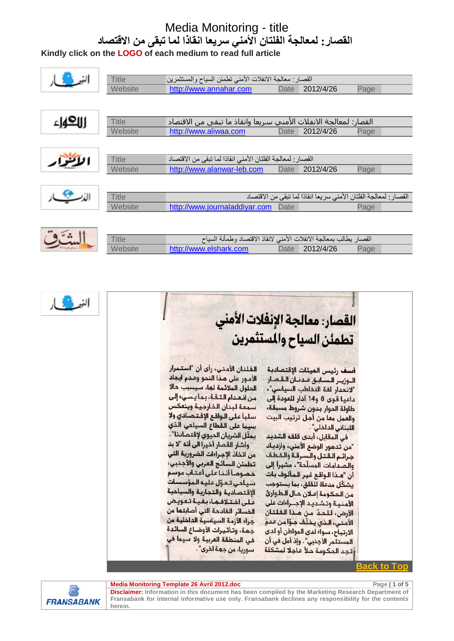#### Media Monitoring - title **القصار: لمعالجة الفلتان الأمني سريعا انقاذا لما تبقى من الاقتصاد**

**Kindly click on the LOGO of each medium to read full article**





#### <u>Back to Top</u>

**Media Monitoring Template 26 Avril 2012.doc Page 1 1 and 2012.doc Page 1 1 of 5** 



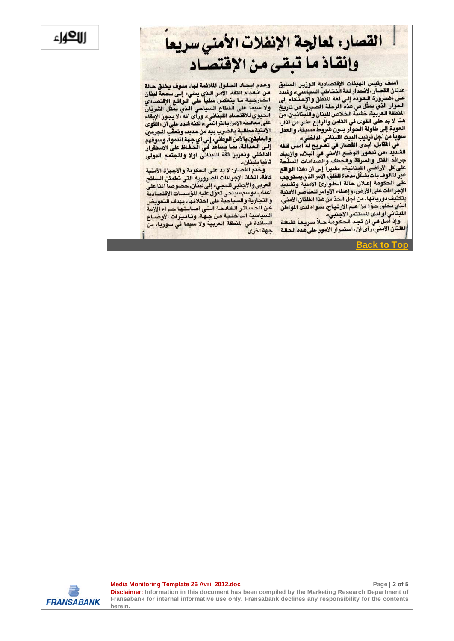#### االكهاء

### القصار: لمعالجة الإنفلات الأمنى سريعا وإنقاذ ما تبقى من الإقتصاد

أسف رئيس الهيئات الإقتصادية الوزير السابق عدنان القصار. ولانحدار لغة التختاطية التورير.<br>عدنان القصار. ولانحدار لغة التخاطب السياسي»، وشدد<br>على «ضـرورة البعودة إلى لغة المنطق والإحتكام إلى صحور الذي يمثل في هذه المنطق والإحتمام إلى<br>الحوار الذي يمثل في هذه الرحلة المسيرية من تاريخ<br>الفاقة ال المنطقة العربية، خشبة الخلاص للبنان واللبنانيين، من هنا لا بد على القوى في الثامن والرابع عشر من آذار، العودة إلى طاولة الحوار بدون شروط مسبقة، والعمل سوياً من أجل ترتيب البيت اللبناني الداخلي،.

في المقابل، أبدى القصار في تصريح له أمس قلقه الشديد «من تدهور الوضيع الأمني في البلاد، وارْبِياد<br>حيائه القتل عالم جرائم القتل والسرقة والخطف والصدامات السلّحة على كل الأراضي اللبنانية»، مشيراً إلى أن «هذا الواقع غير المالوف بات يشكل مدعاة للقلق، الأمر الذي يستوجب على الحكومة إعلان حالة الطوارئ الامنية وتشديد الإجراءات على الأرض، وإعطاء الأوامر للعناصر الأمنية بتكثيف دورياتها، من أجل الحدّ من هذا الفلتان الأمنيّ، الذي يخلق جوًا من عدم الارتياح، سواء لدى المواطن اللبناني أولدى المستثمر الأجنبي».

وإذ أمل في أن تجد الحكومة حلاً سريعاً لمشكلة <mark>الفلتان الأمني، رأى أن «استمرار الأمور على هذه الحالة</mark>

وعدم أيجاد الحلول الملائمة لها، سوف يخلق حالة س التعدام الثقة، الأمر الذي يسيء إلى سمعة لبنان<br>من التعدام الثقة، الأمر الذي يسيء إلى سمعة لبنان<br>الخارجية ما ينعمن سلباً على الواقع الإقتصادي . مسيحا على القطاع السياحي الواضع الإستعدادي<br>ولا سيعا على القطاع السياحي الذي يمثل الشريان<br>الحيوي للاقتصاد القياشي، ورأى أنه «لا يجوز الإيقاء . سيوي تخصصات مستعي». وزاي أنه دو يجوز الإبعاء<br>على معالجة الأمن بالتراضي»، لكنه شدد علي أن «القوى<br>الله نوق و اللوقو الق الأمنية مطالبة بالضرب بيد من حديد، وتعقّب المجرمين والعابثين بالامن الوطني، إلى أي جهة انتموا، وسوقهم إلى العدالة، بما يساعد في الحفاظ على الاستقرار<br>العام العدالة، بما يساعد في الحفاظ على الاستقرار الداخلي وتعزيز ثقة اللبناني أولا والمجتمع الدولي ثانيا بِلَّبِنَانِ».

وختم القصار: لا بد على الحكومة والأجهزة الأمنية كافة، اتخاذ الإجراءات الضرورية التي تطمئن السائح العربي والأجنبي المجيء العنزورية التي تطعن السابع<br>العربي والأجنبي للمجيء إلى لبنان، خصوصاً اننا على<br>أعتاب موسم سياحي تعوّل عليه المؤسسات الإقتصادية<br>والتجارية والسياحية على اختلافها، بهدف التعويض عن الخسائر الفائحة التي أصابتها جراء الآزمة السياسية الداخلية من جهة، وتأثيرات الأوضاع السائدة في المنطقة العربية ولا سيما في سوريا، من جهة اخرى.

**Back to Top**



**Media Monitoring Template 26 Avril 2012.doc Page | 2 of 5**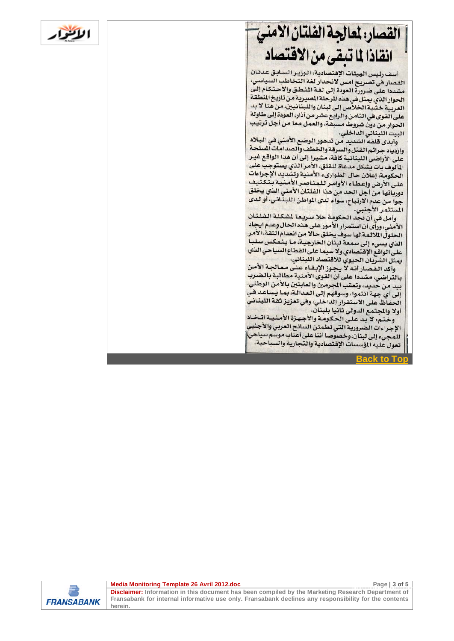## القصار، لعالجة الفلتان الامني انقاذا لما تبقى من الاقتصاد

أسف رئيس الهيئات الإقتصادية، الوزير السابق عدنان اسف رئيس الهيئات الإقتصادية. الورير السياسي:<br>القصار في تصريح امس لانحدار لغة التخاطب السياسي: مشددا على ضرورة العودة إلى لغة المنطق والاحتكام إلى الحوار الذي يمثل في هذه المرحلة المصيرية من تاريخ المنطقة العربية خشبة الخلاص إلى لبنان واللبنانيين، من هنا لا بد على القوى في الثامن والرابع عشر من أذار، العودة إلى طاولة الحوار من دون شروط مسبقة، والعمل معا من أجل ترتيب البيت اللبناني الداخلي.

وابدي قلقه الشديد من تدهور الوضع الأمني في البلاد وازدياد جرائم القتل والسرقة والخطف والصدامات السلحة واردياء بيرسم.<br>على الأراضي اللبنانية كافة، مشيرا إلى أن هذا الواقع غير المألوف بات يشكل مدعاة للقلق، الأمر الذي يستوجب على الحكومة، إعلان حال الطواريء الأمنية وتشديد الإجراءات الحدومة، إعلان حان الطواريء الأسلوبي.<br>على الأرض وإعطاء الأوامر للعناصر الأمنية بتكثيف دورياتها من أجل الحد من هذا الفلتان الأمني الذي يخلق جوا من عدم الارتياح، سواء لدى المواطن اللبناني، أو لدى المستثمر الأجنبي.

وأمل في أن تجد الحكومة حلا سريعا لشكلة الفلتان الأمني، ورأى أن استمرار الأمور على هذه الحال وعدم ايجاد الامني، وزاي أن استمرار أو موركسي تصدد حسن لا تقديم الأمر<br>الحلول الملائمة لها سوف يخلق حالا من انعدام الثقة، الأمر الذي يسيء إلى سمعة لبنان الخارجية، ما ينعكس سلبا .<br>على الواقع الإقتصادي ولا سيما على القطاع السياحي الذي يمثل الشريان الحيوي للاقتصاد اللبناني.

وأكد القصار أنه لا يجوز الإبقاء على معالجة الأمن بالتراضي، مشددا على أن القوى الأمنية مطالبة بالضرب بيد من حديد، وتعقب الجرمين والعابثين بالأمن الوطني إلى أي جهة انتموا، وسوقهم إلى العدالة، بما يساعد في الحفاظ على الاستقرار الداخلي، وفي تعزيز ثقة اللبناني أولا والمجتمع الدولي ثانيا بلبنان.

وختم: لا بد على الحكومة والأجهزة الأمنيـة اتـخـاذ الإجراءات الضرورية التي تطمئن السائح العربي والأجنبي للمجيء إلى لبنان، وخصوصا أننا على أعتاب موسَّم سياحي تعول عليه المؤسسات الإقتصادية والتجارية والسياحية.

**Back to To** 



**Media Monitoring Template 26 Avril 2012.doc Page 13 of 5 Page 13 of 5** 

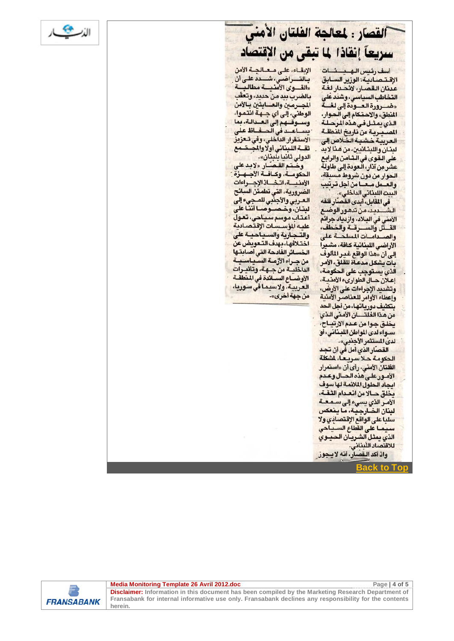

### القصار : لمعالجة الفلتان الأمنى سريعاً إنقاذا لما تبقى من الإقتصاد

أسف رئيس الهدخات الإقتصادية: الوزير السابق عدنان القصار، لانحدار لغة التخاطب السياسي، وشذد على «ضنورة العنودة إلى لغنية المنطق، والاحتكام إلى الحوار، الذى بمثل فى هذه المرحلة المسيرية من تاريخ المنطقة العريبة خشيبة الخلاص إلى لينان واللينانيين، من هنا لايد على القوى في الشامن والرابع عشر مِن آذار، العودة إلى طاولة الحوار من دون شروط مسبقة، والعلمل ملعنا من أجل ترتيب

البيت اللبناني الداخلي». في المقابل، أبدى القصار قلقه الأمني في البلاد، وازدياد جرائم القسل والسرقة والخطف، والصدامات المسلحة على الأراضى اللبنانية كافة، مشيرا إلى أن «هذا الواقع غير المألوف بات يشكل مدعاة للقلق، الأمر الذي يستوجب على الحكومة، إعلان حسال الطواريء الأمنية، وتشديد الإجراءات على الأرض، وإعطاء الأوامر للعناصر الأمنية بتكثيف دورياتها، من أجل الحد من هذا الفلتسان الأمني الذي بخلق جوامن عدم الارتياح، سواء لدى المواطن اللبناني، أو لدى المستثمر الأجنبي».

القصّار الذي أمل في أن تجد الحكومة حلا سريعا، لشكلة الفلتان الأمنى، رأى أن «استمرار الأمور على هذه الحسال وعدم ابجاد الحلول الملائمة لها سوف بخلق حـالا من انعـدام الثقـة، الأمر الذي يسيء إلى سـمـعـة لبنان الخـارجـيـة، مـا يـنعكس سلبا على الواقع الإقتصادي ولا سيما على القطاع السياحي الذى يمثل الشريبان الحيبوي للاقتصاد اللبناني. واذ أكد القصار، أنه لا يجوز

Back to

الإبقاء، على معالجة الأمن بالتراضى، شدد على أن .<br>«القدوى الأمنيسة مطالبية بالضرب بيد من حديد، وتعقّب المجرمين والعسابثين بالأمن الوطني، إلى أي جهة انتموا، وسوقهم إلى العبدالة، بما يساعدني الدفاظ على الاستقرار الداخلي، وفي تعزيز ثقة اللبناني أولاوالمج الدولي ثانيا بلبنان».<br>وخـتـم القـصـّــار «لابـد علي

الحكومــة، وكـافــة الأجــهــزة الأمندة، اتخاذ الإجراءات الضرورية، التي تطمئن السائح العربي والأجنبي للمجيء إلى لبنان، وخصوصا أننا على أعتاب موسم سياحي، تعول عليه المؤسسات الإقتصادية والتدارية والسباحية على اختلافها، بهدف التعويض عن الخسائر الفادحة التي أصابتها من جـراء الأزمــة الســيــاســيــة الداخلية من جهة، وتأثيرات الأوضاع السائدة في المنطقة العربية، ولاسيما في سوريا، من جهة أخرى».



**Media Monitoring Template 26 Avril 2012.doc Page 14 of 5 Page 14 of 5**